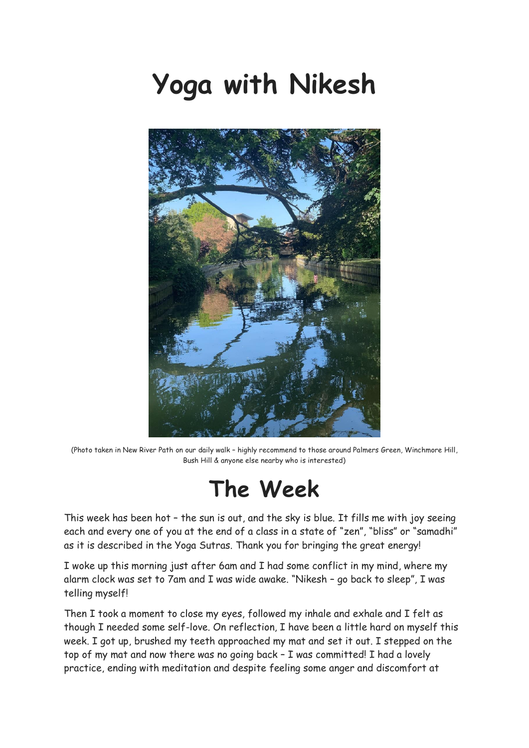# **Yoga with Nikesh**



(Photo taken in New River Path on our daily walk – highly recommend to those around Palmers Green, Winchmore Hill, Bush Hill & anyone else nearby who is interested)

#### **The Week**

This week has been hot – the sun is out, and the sky is blue. It fills me with joy seeing each and every one of you at the end of a class in a state of "zen", "bliss" or "samadhi" as it is described in the Yoga Sutras. Thank you for bringing the great energy!

I woke up this morning just after 6am and I had some conflict in my mind, where my alarm clock was set to 7am and I was wide awake. "Nikesh – go back to sleep", I was telling myself!

Then I took a moment to close my eyes, followed my inhale and exhale and I felt as though I needed some self-love. On reflection, I have been a little hard on myself this week. I got up, brushed my teeth approached my mat and set it out. I stepped on the top of my mat and now there was no going back - I was committed! I had a lovely practice, ending with meditation and despite feeling some anger and discomfort at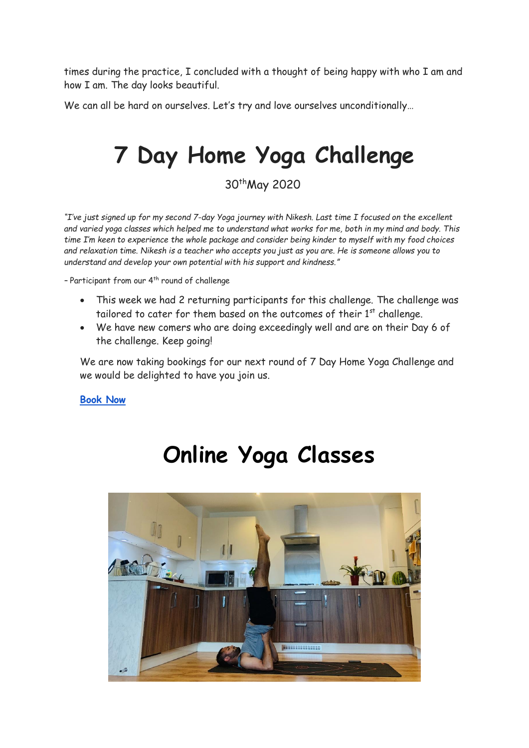times during the practice, I concluded with a thought of being happy with who I am and how I am. The day looks beautiful.

We can all be hard on ourselves. Let's try and love ourselves unconditionally...

### **7 Day Home Yoga Challenge**

30thMay 2020

*"I've just signed up for my second 7-day Yoga journey with Nikesh. Last time I focused on the excellent and varied yoga classes which helped me to understand what works for me, both in my mind and body. This time I'm keen to experience the whole package and consider being kinder to myself with my food choices and relaxation time. Nikesh is a teacher who accepts you just as you are. He is someone allows you to understand and develop your own potential with his support and kindness."*

- Participant from our 4<sup>th</sup> round of challenge

- This week we had 2 returning participants for this challenge. The challenge was tailored to cater for them based on the outcomes of their  $1<sup>st</sup>$  challenge.
- We have new comers who are doing exceedingly well and are on their Day 6 of the challenge. Keep going!

We are now taking bookings for our next round of 7 Day Home Yoga Challenge and we would be delighted to have you join us.

**[Book Now](https://www.yogawithnikesh.com/7-day)**

### **Online Yoga Classes**